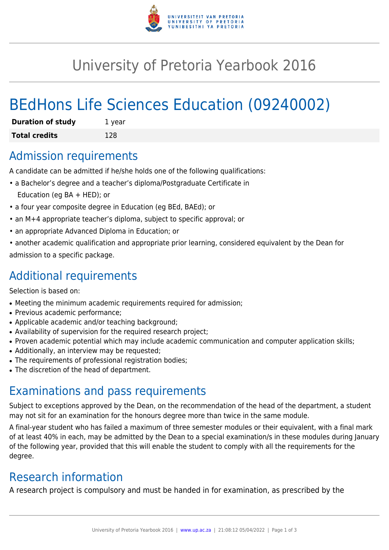

## University of Pretoria Yearbook 2016

# BEdHons Life Sciences Education (09240002)

| <b>Duration of study</b> | 1 year |
|--------------------------|--------|
| <b>Total credits</b>     | 128    |

#### Admission requirements

A candidate can be admitted if he/she holds one of the following qualifications:

- a Bachelor's degree and a teacher's diploma/Postgraduate Certificate in Education (eg BA + HED); or
- a four year composite degree in Education (eg BEd, BAEd); or
- an M+4 appropriate teacher's diploma, subject to specific approval; or
- an appropriate Advanced Diploma in Education; or
- another academic qualification and appropriate prior learning, considered equivalent by the Dean for admission to a specific package.

### Additional requirements

Selection is based on:

- Meeting the minimum academic requirements required for admission;
- Previous academic performance:
- Applicable academic and/or teaching background;
- Availability of supervision for the required research project;
- Proven academic potential which may include academic communication and computer application skills;
- Additionally, an interview may be requested;
- The requirements of professional registration bodies;
- The discretion of the head of department.

### Examinations and pass requirements

Subject to exceptions approved by the Dean, on the recommendation of the head of the department, a student may not sit for an examination for the honours degree more than twice in the same module.

A final-year student who has failed a maximum of three semester modules or their equivalent, with a final mark of at least 40% in each, may be admitted by the Dean to a special examination/s in these modules during January of the following year, provided that this will enable the student to comply with all the requirements for the degree.

### Research information

A research project is compulsory and must be handed in for examination, as prescribed by the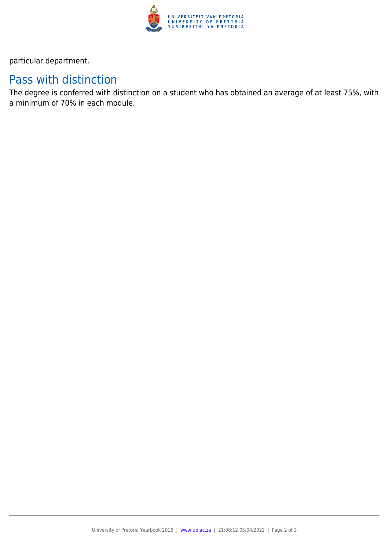

particular department.

### Pass with distinction

The degree is conferred with distinction on a student who has obtained an average of at least 75%, with a minimum of 70% in each module.